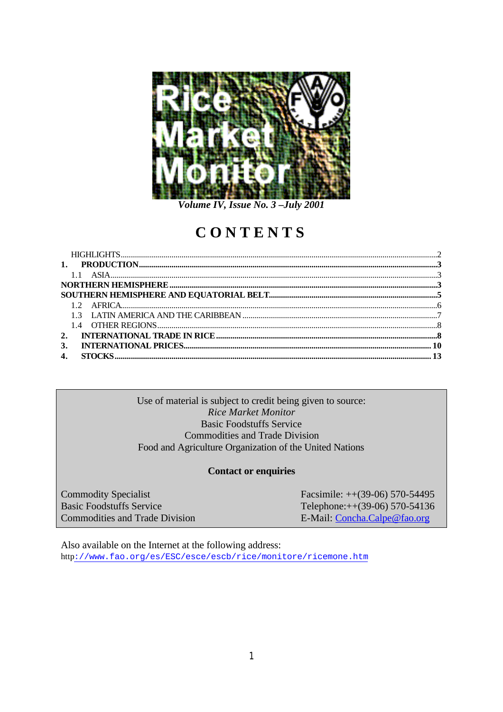

Volume IV, Issue No. 3-July 2001

# CONTENTS

| 3. |  |
|----|--|
| 4. |  |

## Use of material is subject to credit being given to source: **Rice Market Monitor Basic Foodstuffs Service Commodities and Trade Division** Food and Agriculture Organization of the United Nations

## **Contact or enquiries**

**Commodity Specialist Basic Foodstuffs Service Commodities and Trade Division**  Facsimile:  $++(39-06)$  570-54495 Telephone:++(39-06) 570-54136 E-Mail: Concha.Calpe@fao.org

Also available on the Internet at the following address: http://www.fao.org/es/ESC/esce/escb/rice/monitore/ricemone.htm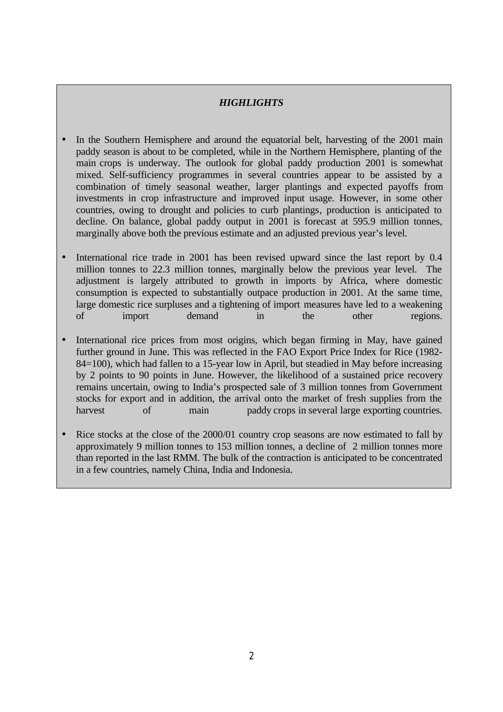# *HIGHLIGHTS*

- In the Southern Hemisphere and around the equatorial belt, harvesting of the 2001 main paddy season is about to be completed, while in the Northern Hemisphere, planting of the main crops is underway. The outlook for global paddy production 2001 is somewhat mixed. Self-sufficiency programmes in several countries appear to be assisted by a combination of timely seasonal weather, larger plantings and expected payoffs from investments in crop infrastructure and improved input usage. However, in some other countries, owing to drought and policies to curb plantings, production is anticipated to decline. On balance, global paddy output in 2001 is forecast at 595.9 million tonnes, marginally above both the previous estimate and an adjusted previous year's level.
- International rice trade in 2001 has been revised upward since the last report by 0.4 million tonnes to 22.3 million tonnes, marginally below the previous year level. The adjustment is largely attributed to growth in imports by Africa, where domestic consumption is expected to substantially outpace production in 2001. At the same time, large domestic rice surpluses and a tightening of import measures have led to a weakening of import demand in the other regions.
- International rice prices from most origins, which began firming in May, have gained further ground in June. This was reflected in the FAO Export Price Index for Rice (1982- 84=100), which had fallen to a 15-year low in April, but steadied in May before increasing by 2 points to 90 points in June. However, the likelihood of a sustained price recovery remains uncertain, owing to India's prospected sale of 3 million tonnes from Government stocks for export and in addition, the arrival onto the market of fresh supplies from the harvest of main paddy crops in several large exporting countries.
- Rice stocks at the close of the 2000/01 country crop seasons are now estimated to fall by approximately 9 million tonnes to 153 million tonnes, a decline of 2 million tonnes more than reported in the last RMM. The bulk of the contraction is anticipated to be concentrated in a few countries, namely China, India and Indonesia.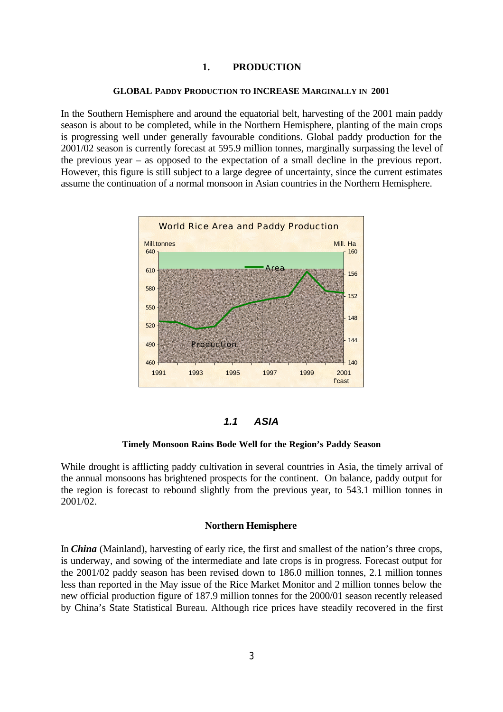#### **1. PRODUCTION**

#### **GLOBAL PADDY PRODUCTION TO INCREASE MARGINALLY IN 2001**

In the Southern Hemisphere and around the equatorial belt, harvesting of the 2001 main paddy season is about to be completed, while in the Northern Hemisphere, planting of the main crops is progressing well under generally favourable conditions. Global paddy production for the 2001/02 season is currently forecast at 595.9 million tonnes, marginally surpassing the level of the previous year – as opposed to the expectation of a small decline in the previous report. However, this figure is still subject to a large degree of uncertainty, since the current estimates assume the continuation of a normal monsoon in Asian countries in the Northern Hemisphere.



#### *1.1 ASIA*

#### **Timely Monsoon Rains Bode Well for the Region's Paddy Season**

While drought is afflicting paddy cultivation in several countries in Asia, the timely arrival of the annual monsoons has brightened prospects for the continent. On balance, paddy output for the region is forecast to rebound slightly from the previous year, to 543.1 million tonnes in 2001/02.

#### **Northern Hemisphere**

In *China* (Mainland), harvesting of early rice, the first and smallest of the nation's three crops, is underway, and sowing of the intermediate and late crops is in progress. Forecast output for the 2001/02 paddy season has been revised down to 186.0 million tonnes, 2.1 million tonnes less than reported in the May issue of the Rice Market Monitor and 2 million tonnes below the new official production figure of 187.9 million tonnes for the 2000/01 season recently released by China's State Statistical Bureau. Although rice prices have steadily recovered in the first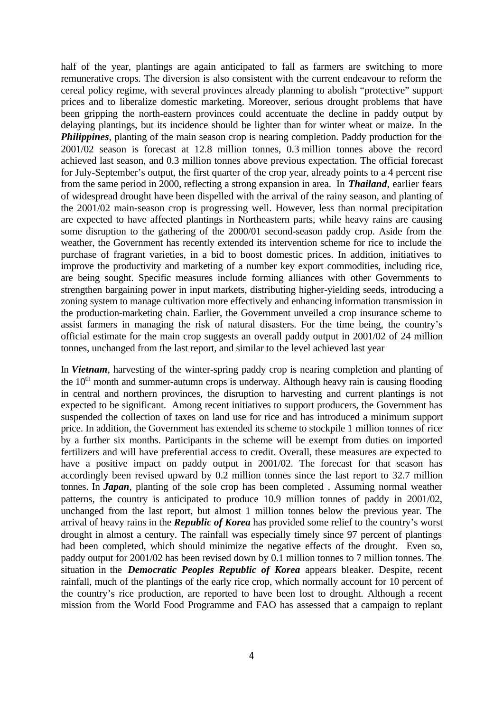half of the year, plantings are again anticipated to fall as farmers are switching to more remunerative crops. The diversion is also consistent with the current endeavour to reform the cereal policy regime, with several provinces already planning to abolish "protective" support prices and to liberalize domestic marketing. Moreover, serious drought problems that have been gripping the north-eastern provinces could accentuate the decline in paddy output by delaying plantings, but its incidence should be lighter than for winter wheat or maize. In the *Philippines*, planting of the main season crop is nearing completion. Paddy production for the 2001/02 season is forecast at 12.8 million tonnes, 0.3 million tonnes above the record achieved last season, and 0.3 million tonnes above previous expectation. The official forecast for July-September's output, the first quarter of the crop year, already points to a 4 percent rise from the same period in 2000, reflecting a strong expansion in area. In *Thailand*, earlier fears of widespread drought have been dispelled with the arrival of the rainy season, and planting of the 2001/02 main-season crop is progressing well. However, less than normal precipitation are expected to have affected plantings in Northeastern parts, while heavy rains are causing some disruption to the gathering of the 2000/01 second-season paddy crop. Aside from the weather, the Government has recently extended its intervention scheme for rice to include the purchase of fragrant varieties, in a bid to boost domestic prices. In addition, initiatives to improve the productivity and marketing of a number key export commodities, including rice, are being sought. Specific measures include forming alliances with other Governments to strengthen bargaining power in input markets, distributing higher-yielding seeds, introducing a zoning system to manage cultivation more effectively and enhancing information transmission in the production-marketing chain. Earlier, the Government unveiled a crop insurance scheme to assist farmers in managing the risk of natural disasters. For the time being, the country's official estimate for the main crop suggests an overall paddy output in 2001/02 of 24 million tonnes, unchanged from the last report, and similar to the level achieved last year

In *Vietnam*, harvesting of the winter-spring paddy crop is nearing completion and planting of the  $10<sup>th</sup>$  month and summer-autumn crops is underway. Although heavy rain is causing flooding in central and northern provinces, the disruption to harvesting and current plantings is not expected to be significant. Among recent initiatives to support producers, the Government has suspended the collection of taxes on land use for rice and has introduced a minimum support price. In addition, the Government has extended its scheme to stockpile 1 million tonnes of rice by a further six months. Participants in the scheme will be exempt from duties on imported fertilizers and will have preferential access to credit. Overall, these measures are expected to have a positive impact on paddy output in 2001/02. The forecast for that season has accordingly been revised upward by 0.2 million tonnes since the last report to 32.7 million tonnes. In *Japan*, planting of the sole crop has been completed . Assuming normal weather patterns, the country is anticipated to produce 10.9 million tonnes of paddy in 2001/02, unchanged from the last report, but almost 1 million tonnes below the previous year. The arrival of heavy rains in the *Republic of Korea* has provided some relief to the country's worst drought in almost a century. The rainfall was especially timely since 97 percent of plantings had been completed, which should minimize the negative effects of the drought. Even so, paddy output for 2001/02 has been revised down by 0.1 million tonnes to 7 million tonnes. The situation in the *Democratic Peoples Republic of Korea* appears bleaker. Despite, recent rainfall, much of the plantings of the early rice crop, which normally account for 10 percent of the country's rice production, are reported to have been lost to drought. Although a recent mission from the World Food Programme and FAO has assessed that a campaign to replant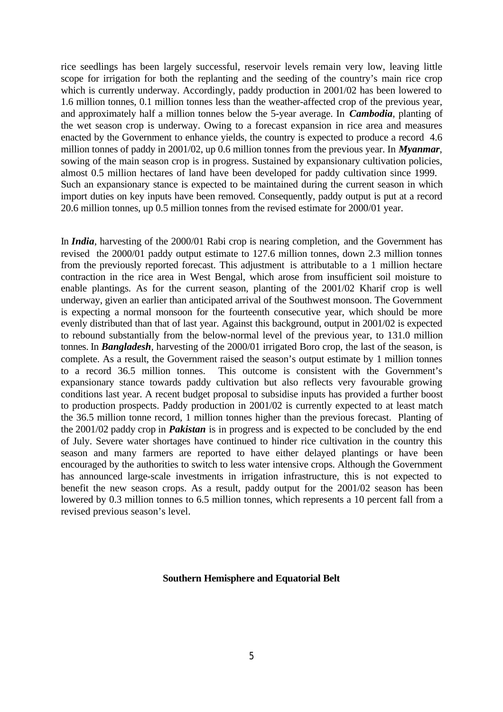rice seedlings has been largely successful, reservoir levels remain very low, leaving little scope for irrigation for both the replanting and the seeding of the country's main rice crop which is currently underway. Accordingly, paddy production in 2001/02 has been lowered to 1.6 million tonnes, 0.1 million tonnes less than the weather-affected crop of the previous year, and approximately half a million tonnes below the 5-year average. In *Cambodia*, planting of the wet season crop is underway. Owing to a forecast expansion in rice area and measures enacted by the Government to enhance yields, the country is expected to produce a record 4.6 million tonnes of paddy in 2001/02, up 0.6 million tonnes from the previous year. In *Myanmar*, sowing of the main season crop is in progress. Sustained by expansionary cultivation policies, almost 0.5 million hectares of land have been developed for paddy cultivation since 1999. Such an expansionary stance is expected to be maintained during the current season in which import duties on key inputs have been removed. Consequently, paddy output is put at a record 20.6 million tonnes, up 0.5 million tonnes from the revised estimate for 2000/01 year.

In *India*, harvesting of the 2000/01 Rabi crop is nearing completion, and the Government has revised the 2000/01 paddy output estimate to 127.6 million tonnes, down 2.3 million tonnes from the previously reported forecast. This adjustment is attributable to a 1 million hectare contraction in the rice area in West Bengal, which arose from insufficient soil moisture to enable plantings. As for the current season, planting of the 2001/02 Kharif crop is well underway, given an earlier than anticipated arrival of the Southwest monsoon. The Government is expecting a normal monsoon for the fourteenth consecutive year, which should be more evenly distributed than that of last year. Against this background, output in 2001/02 is expected to rebound substantially from the below-normal level of the previous year, to 131.0 million tonnes. In *Bangladesh*, harvesting of the 2000/01 irrigated Boro crop, the last of the season, is complete. As a result, the Government raised the season's output estimate by 1 million tonnes to a record 36.5 million tonnes. This outcome is consistent with the Government's expansionary stance towards paddy cultivation but also reflects very favourable growing conditions last year. A recent budget proposal to subsidise inputs has provided a further boost to production prospects. Paddy production in 2001/02 is currently expected to at least match the 36.5 million tonne record, 1 million tonnes higher than the previous forecast. Planting of the 2001/02 paddy crop in *Pakistan* is in progress and is expected to be concluded by the end of July. Severe water shortages have continued to hinder rice cultivation in the country this season and many farmers are reported to have either delayed plantings or have been encouraged by the authorities to switch to less water intensive crops. Although the Government has announced large-scale investments in irrigation infrastructure, this is not expected to benefit the new season crops. As a result, paddy output for the 2001/02 season has been lowered by 0.3 million tonnes to 6.5 million tonnes, which represents a 10 percent fall from a revised previous season's level.

#### **Southern Hemisphere and Equatorial Belt**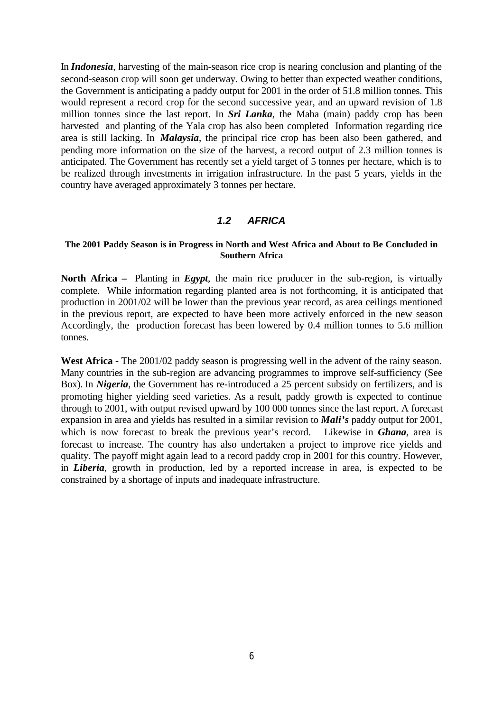In *Indonesia*, harvesting of the main-season rice crop is nearing conclusion and planting of the second-season crop will soon get underway. Owing to better than expected weather conditions, the Government is anticipating a paddy output for 2001 in the order of 51.8 million tonnes. This would represent a record crop for the second successive year, and an upward revision of 1.8 million tonnes since the last report. In *Sri Lanka*, the Maha (main) paddy crop has been harvested and planting of the Yala crop has also been completed Information regarding rice area is still lacking. In *Malaysia*, the principal rice crop has been also been gathered, and pending more information on the size of the harvest, a record output of 2.3 million tonnes is anticipated. The Government has recently set a yield target of 5 tonnes per hectare, which is to be realized through investments in irrigation infrastructure. In the past 5 years, yields in the country have averaged approximately 3 tonnes per hectare.

### *1.2 AFRICA*

#### **The 2001 Paddy Season is in Progress in North and West Africa and About to Be Concluded in Southern Africa**

**North Africa –** Planting in *Egypt*, the main rice producer in the sub-region, is virtually complete. While information regarding planted area is not forthcoming, it is anticipated that production in 2001/02 will be lower than the previous year record, as area ceilings mentioned in the previous report, are expected to have been more actively enforced in the new season Accordingly, the production forecast has been lowered by 0.4 million tonnes to 5.6 million tonnes.

West Africa - The 2001/02 paddy season is progressing well in the advent of the rainy season. Many countries in the sub-region are advancing programmes to improve self-sufficiency (See Box). In *Nigeria*, the Government has re-introduced a 25 percent subsidy on fertilizers, and is promoting higher yielding seed varieties. As a result, paddy growth is expected to continue through to 2001, with output revised upward by 100 000 tonnes since the last report. A forecast expansion in area and yields has resulted in a similar revision to *Mali's* paddy output for 2001, which is now forecast to break the previous year's record. Likewise in *Ghana*, area is forecast to increase. The country has also undertaken a project to improve rice yields and quality. The payoff might again lead to a record paddy crop in 2001 for this country. However, in *Liberia*, growth in production, led by a reported increase in area, is expected to be constrained by a shortage of inputs and inadequate infrastructure.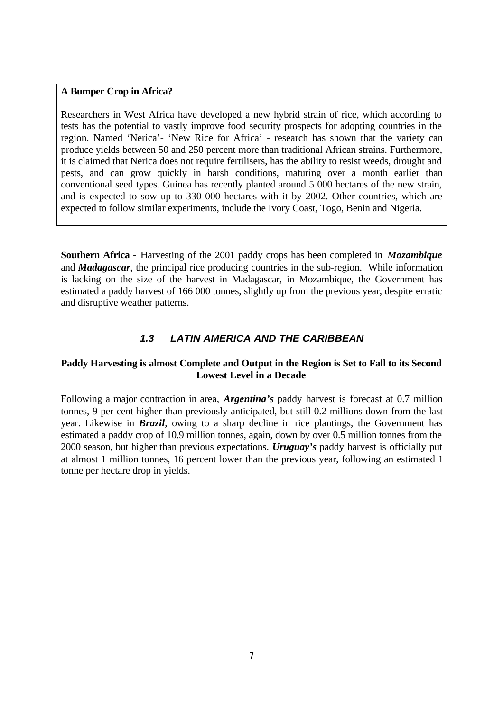## **A Bumper Crop in Africa?**

Researchers in West Africa have developed a new hybrid strain of rice, which according to tests has the potential to vastly improve food security prospects for adopting countries in the region. Named 'Nerica'- 'New Rice for Africa' - research has shown that the variety can produce yields between 50 and 250 percent more than traditional African strains. Furthermore, it is claimed that Nerica does not require fertilisers, has the ability to resist weeds, drought and pests, and can grow quickly in harsh conditions, maturing over a month earlier than conventional seed types. Guinea has recently planted around 5 000 hectares of the new strain, and is expected to sow up to 330 000 hectares with it by 2002. Other countries, which are expected to follow similar experiments, include the Ivory Coast, Togo, Benin and Nigeria.

**Southern Africa -** Harvesting of the 2001 paddy crops has been completed in *Mozambique* and *Madagascar*, the principal rice producing countries in the sub-region. While information is lacking on the size of the harvest in Madagascar, in Mozambique, the Government has estimated a paddy harvest of 166 000 tonnes, slightly up from the previous year, despite erratic and disruptive weather patterns.

## *1.3 LATIN AMERICA AND THE CARIBBEAN*

## **Paddy Harvesting is almost Complete and Output in the Region is Set to Fall to its Second Lowest Level in a Decade**

Following a major contraction in area, *Argentina's* paddy harvest is forecast at 0.7 million tonnes, 9 per cent higher than previously anticipated, but still 0.2 millions down from the last year. Likewise in *Brazil*, owing to a sharp decline in rice plantings, the Government has estimated a paddy crop of 10.9 million tonnes, again, down by over 0.5 million tonnes from the 2000 season, but higher than previous expectations. *Uruguay's* paddy harvest is officially put at almost 1 million tonnes, 16 percent lower than the previous year, following an estimated 1 tonne per hectare drop in yields.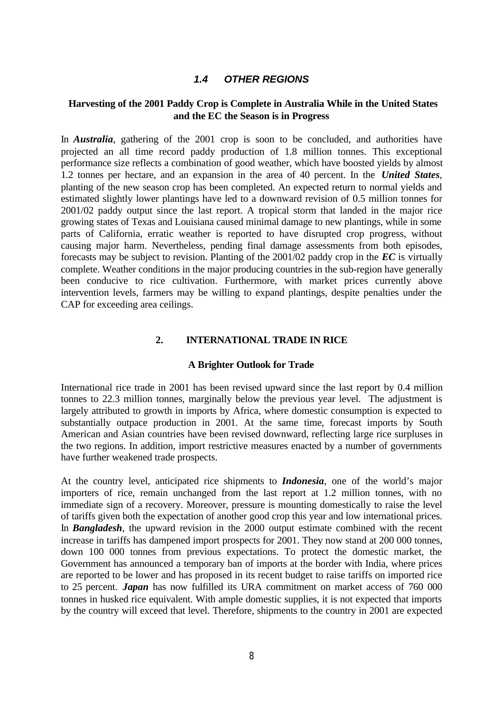## *1.4 OTHER REGIONS*

## **Harvesting of the 2001 Paddy Crop is Complete in Australia While in the United States and the EC the Season is in Progress**

In *Australia*, gathering of the 2001 crop is soon to be concluded, and authorities have projected an all time record paddy production of 1.8 million tonnes. This exceptional performance size reflects a combination of good weather, which have boosted yields by almost 1.2 tonnes per hectare, and an expansion in the area of 40 percent. In the *United States*, planting of the new season crop has been completed. An expected return to normal yields and estimated slightly lower plantings have led to a downward revision of 0.5 million tonnes for 2001/02 paddy output since the last report. A tropical storm that landed in the major rice growing states of Texas and Louisiana caused minimal damage to new plantings, while in some parts of California, erratic weather is reported to have disrupted crop progress, without causing major harm. Nevertheless, pending final damage assessments from both episodes, forecasts may be subject to revision. Planting of the 2001/02 paddy crop in the *EC* is virtually complete. Weather conditions in the major producing countries in the sub-region have generally been conducive to rice cultivation. Furthermore, with market prices currently above intervention levels, farmers may be willing to expand plantings, despite penalties under the CAP for exceeding area ceilings.

#### **2. INTERNATIONAL TRADE IN RICE**

#### **A Brighter Outlook for Trade**

International rice trade in 2001 has been revised upward since the last report by 0.4 million tonnes to 22.3 million tonnes, marginally below the previous year level. The adjustment is largely attributed to growth in imports by Africa, where domestic consumption is expected to substantially outpace production in 2001. At the same time, forecast imports by South American and Asian countries have been revised downward, reflecting large rice surpluses in the two regions. In addition, import restrictive measures enacted by a number of governments have further weakened trade prospects.

At the country level, anticipated rice shipments to *Indonesia*, one of the world's major importers of rice, remain unchanged from the last report at 1.2 million tonnes, with no immediate sign of a recovery. Moreover, pressure is mounting domestically to raise the level of tariffs given both the expectation of another good crop this year and low international prices. In *Bangladesh*, the upward revision in the 2000 output estimate combined with the recent increase in tariffs has dampened import prospects for 2001. They now stand at 200 000 tonnes, down 100 000 tonnes from previous expectations. To protect the domestic market, the Government has announced a temporary ban of imports at the border with India, where prices are reported to be lower and has proposed in its recent budget to raise tariffs on imported rice to 25 percent. *Japan* has now fulfilled its URA commitment on market access of 760 000 tonnes in husked rice equivalent. With ample domestic supplies, it is not expected that imports by the country will exceed that level. Therefore, shipments to the country in 2001 are expected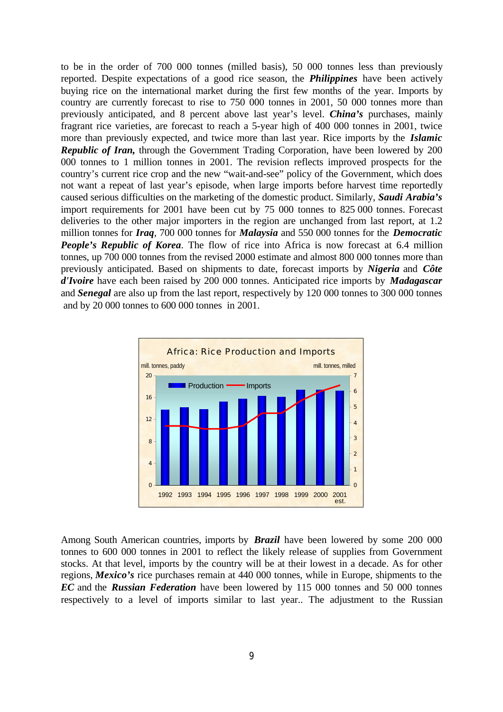to be in the order of 700 000 tonnes (milled basis), 50 000 tonnes less than previously reported. Despite expectations of a good rice season, the *Philippines* have been actively buying rice on the international market during the first few months of the year. Imports by country are currently forecast to rise to 750 000 tonnes in 2001, 50 000 tonnes more than previously anticipated, and 8 percent above last year's level. *China's* purchases, mainly fragrant rice varieties, are forecast to reach a 5-year high of 400 000 tonnes in 2001, twice more than previously expected, and twice more than last year. Rice imports by the *Islamic Republic of Iran,* through the Government Trading Corporation, have been lowered by 200 000 tonnes to 1 million tonnes in 2001. The revision reflects improved prospects for the country's current rice crop and the new "wait-and-see" policy of the Government, which does not want a repeat of last year's episode, when large imports before harvest time reportedly caused serious difficulties on the marketing of the domestic product. Similarly, *Saudi Arabia's* import requirements for 2001 have been cut by 75 000 tonnes to 825 000 tonnes. Forecast deliveries to the other major importers in the region are unchanged from last report, at 1.2 million tonnes for *Iraq*, 700 000 tonnes for *Malaysia* and 550 000 tonnes for the *Democratic People's Republic of Korea*. The flow of rice into Africa is now forecast at 6.4 million tonnes, up 700 000 tonnes from the revised 2000 estimate and almost 800 000 tonnes more than previously anticipated. Based on shipments to date, forecast imports by *Nigeria* and *Côte d'Ivoire* have each been raised by 200 000 tonnes. Anticipated rice imports by *Madagascar* and *Senegal* are also up from the last report, respectively by 120 000 tonnes to 300 000 tonnes and by 20 000 tonnes to 600 000 tonnes in 2001.



Among South American countries, imports by *Brazil* have been lowered by some 200 000 tonnes to 600 000 tonnes in 2001 to reflect the likely release of supplies from Government stocks. At that level, imports by the country will be at their lowest in a decade. As for other regions, *Mexico's* rice purchases remain at 440 000 tonnes, while in Europe, shipments to the *EC* and the *Russian Federation* have been lowered by 115 000 tonnes and 50 000 tonnes respectively to a level of imports similar to last year.. The adjustment to the Russian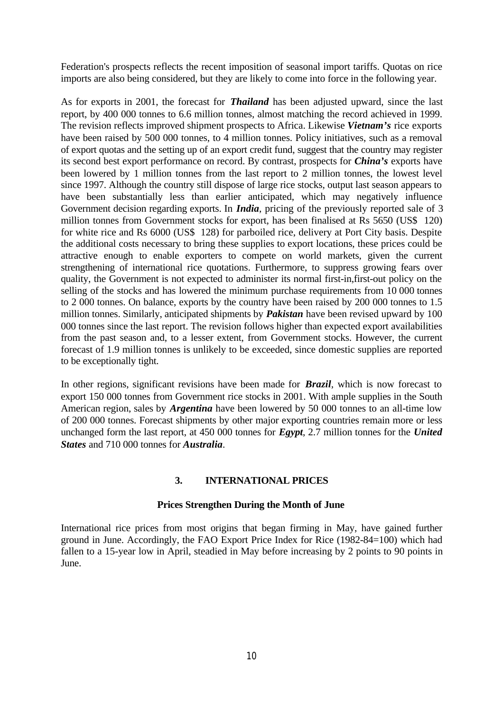Federation's prospects reflects the recent imposition of seasonal import tariffs. Quotas on rice imports are also being considered, but they are likely to come into force in the following year.

As for exports in 2001, the forecast for *Thailand* has been adjusted upward, since the last report, by 400 000 tonnes to 6.6 million tonnes, almost matching the record achieved in 1999. The revision reflects improved shipment prospects to Africa. Likewise *Vietnam's* rice exports have been raised by 500 000 tonnes, to 4 million tonnes. Policy initiatives, such as a removal of export quotas and the setting up of an export credit fund, suggest that the country may register its second best export performance on record. By contrast, prospects for *China's* exports have been lowered by 1 million tonnes from the last report to 2 million tonnes, the lowest level since 1997. Although the country still dispose of large rice stocks, output last season appears to have been substantially less than earlier anticipated, which may negatively influence Government decision regarding exports. In *India*, pricing of the previously reported sale of 3 million tonnes from Government stocks for export, has been finalised at Rs 5650 (US\$ 120) for white rice and Rs 6000 (US\$ 128) for parboiled rice, delivery at Port City basis. Despite the additional costs necessary to bring these supplies to export locations, these prices could be attractive enough to enable exporters to compete on world markets, given the current strengthening of international rice quotations. Furthermore, to suppress growing fears over quality, the Government is not expected to administer its normal first-in,first-out policy on the selling of the stocks and has lowered the minimum purchase requirements from 10 000 tonnes to 2 000 tonnes. On balance, exports by the country have been raised by 200 000 tonnes to 1.5 million tonnes. Similarly, anticipated shipments by *Pakistan* have been revised upward by 100 000 tonnes since the last report. The revision follows higher than expected export availabilities from the past season and, to a lesser extent, from Government stocks. However, the current forecast of 1.9 million tonnes is unlikely to be exceeded, since domestic supplies are reported to be exceptionally tight.

In other regions, significant revisions have been made for **Brazil**, which is now forecast to export 150 000 tonnes from Government rice stocks in 2001. With ample supplies in the South American region, sales by *Argentina* have been lowered by 50 000 tonnes to an all-time low of 200 000 tonnes. Forecast shipments by other major exporting countries remain more or less unchanged form the last report, at 450 000 tonnes for *Egypt*, 2.7 million tonnes for the *United States* and 710 000 tonnes for *Australia*.

## **3. INTERNATIONAL PRICES**

## **Prices Strengthen During the Month of June**

International rice prices from most origins that began firming in May, have gained further ground in June. Accordingly, the FAO Export Price Index for Rice (1982-84=100) which had fallen to a 15-year low in April, steadied in May before increasing by 2 points to 90 points in **I**une.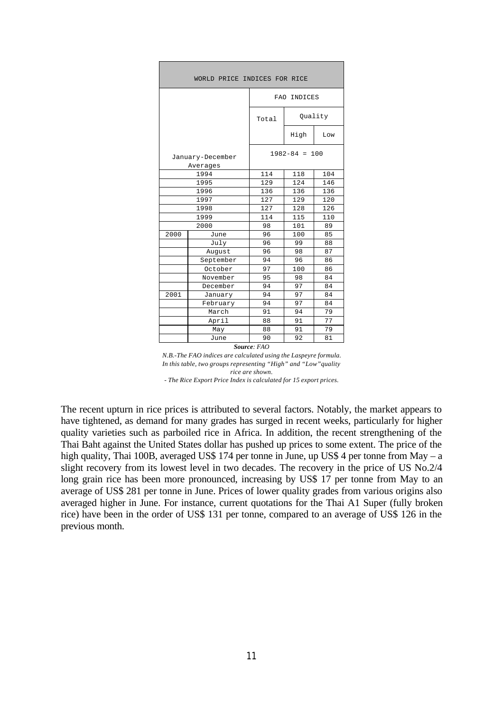| WORLD PRICE INDICES FOR RICE |                              |                   |         |     |  |  |  |  |  |  |
|------------------------------|------------------------------|-------------------|---------|-----|--|--|--|--|--|--|
|                              | FAO INDICES                  |                   |         |     |  |  |  |  |  |  |
|                              |                              | Total             | Ouality |     |  |  |  |  |  |  |
|                              |                              |                   | High    | Low |  |  |  |  |  |  |
|                              | January-December<br>Averages | $1982 - 84 = 100$ |         |     |  |  |  |  |  |  |
|                              | 1994                         | 114               | 118     | 104 |  |  |  |  |  |  |
|                              | 1995                         | 129               | 124     | 146 |  |  |  |  |  |  |
|                              | 1996                         | 136               | 136     | 136 |  |  |  |  |  |  |
|                              | 1997                         | 127               | 129     | 120 |  |  |  |  |  |  |
|                              | 1998                         | 127               | 128     | 126 |  |  |  |  |  |  |
|                              | 1999                         | 114               | 115     | 110 |  |  |  |  |  |  |
|                              | 2000                         | 98                | 101     | 89  |  |  |  |  |  |  |
| 2000                         | June                         | 96                | 100     | 85  |  |  |  |  |  |  |
|                              | July                         | 96                | 99      | 88  |  |  |  |  |  |  |
|                              | August                       | 96                | 98      | 87  |  |  |  |  |  |  |
|                              | September                    | 94                | 96      | 86  |  |  |  |  |  |  |
|                              | October                      | 97                | 100     | 86  |  |  |  |  |  |  |
|                              | November                     | 95                | 98      | 84  |  |  |  |  |  |  |
|                              | December                     | 94                | 97      | 84  |  |  |  |  |  |  |
| 2001                         | January                      | 94                | 97      | 84  |  |  |  |  |  |  |
|                              | February                     | 94                | 97      | 84  |  |  |  |  |  |  |
|                              | March                        | 91                | 94      | 79  |  |  |  |  |  |  |
|                              | April                        | 88                | 91      | 77  |  |  |  |  |  |  |
|                              | May                          | 88                | 91      | 79  |  |  |  |  |  |  |
|                              | June                         | 90                | 92      | 81  |  |  |  |  |  |  |
| Source: FAO                  |                              |                   |         |     |  |  |  |  |  |  |

*N.B.-The FAO indices are calculated using the Laspeyre formula. In this table, two groups representing "High" and "Low"quality rice are shown. - The Rice Export Price Index is calculated for 15 export prices.*

The recent upturn in rice prices is attributed to several factors. Notably, the market appears to have tightened, as demand for many grades has surged in recent weeks, particularly for higher quality varieties such as parboiled rice in Africa. In addition, the recent strengthening of the Thai Baht against the United States dollar has pushed up prices to some extent. The price of the high quality, Thai 100B, averaged US\$ 174 per tonne in June, up US\$ 4 per tonne from May – a slight recovery from its lowest level in two decades. The recovery in the price of US No.2/4 long grain rice has been more pronounced, increasing by US\$ 17 per tonne from May to an average of US\$ 281 per tonne in June. Prices of lower quality grades from various origins also averaged higher in June. For instance, current quotations for the Thai A1 Super (fully broken rice) have been in the order of US\$ 131 per tonne, compared to an average of US\$ 126 in the previous month.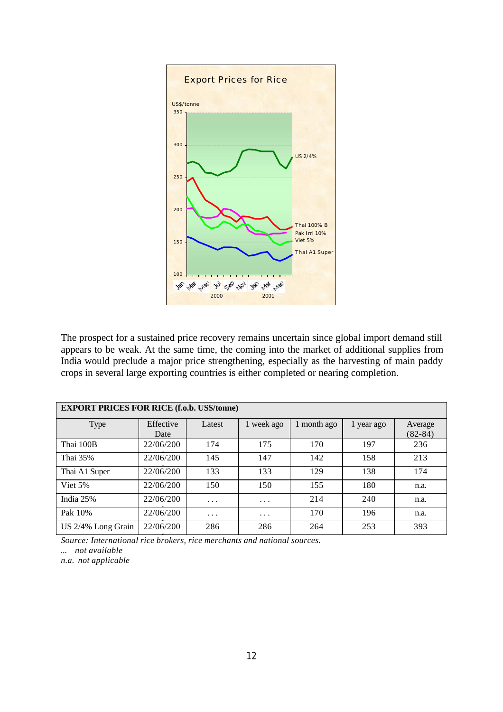

The prospect for a sustained price recovery remains uncertain since global import demand still appears to be weak. At the same time, the coming into the market of additional supplies from India would preclude a major price strengthening, especially as the harvesting of main paddy crops in several large exporting countries is either completed or nearing completion.

| <b>EXPORT PRICES FOR RICE (f.o.b. US\$/tonne)</b> |           |          |            |             |            |             |  |  |  |  |  |
|---------------------------------------------------|-----------|----------|------------|-------------|------------|-------------|--|--|--|--|--|
| Type                                              | Effective | Latest   | 1 week ago | 1 month ago | 1 year ago | Average     |  |  |  |  |  |
|                                                   | Date      |          |            |             |            | $(82 - 84)$ |  |  |  |  |  |
| Thai 100B                                         | 22/06/200 | 174      | 175        | 170         | 197        | 236         |  |  |  |  |  |
| Thai 35%                                          | 22/06/200 | 145      | 147        | 142         | 158        | 213         |  |  |  |  |  |
| Thai A1 Super                                     | 22/06/200 | 133      | 133        | 129         | 138        | 174         |  |  |  |  |  |
| Viet 5%                                           | 22/06/200 | 150      | 150        | 155         | 180        | n.a.        |  |  |  |  |  |
| India 25%                                         | 22/06/200 | $\cdots$ | $\cdots$   | 214         | 240        | n.a.        |  |  |  |  |  |
| Pak 10%                                           | 22/06/200 | $\cdots$ | $\cdots$   | 170         | 196        | n.a.        |  |  |  |  |  |
| US 2/4% Long Grain                                | 22/06/200 | 286      | 286        | 264         | 253        | 393         |  |  |  |  |  |

1 *Source: International rice brokers, rice merchants and national sources.*

*... not available*

*n.a. not applicable*